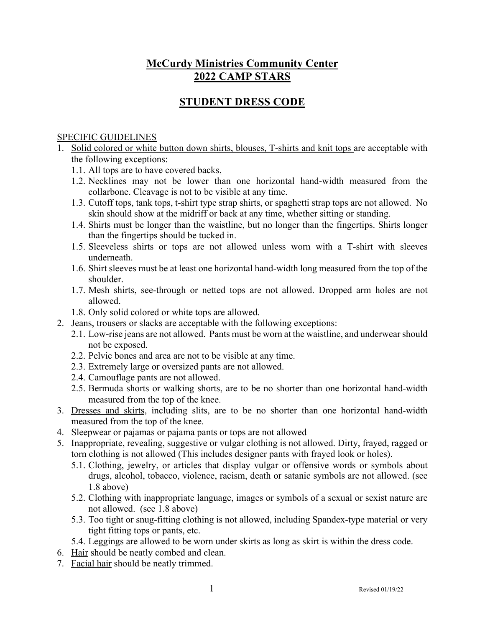## **McCurdy Ministries Community Center 2022 CAMP STARS**

## **STUDENT DRESS CODE**

## SPECIFIC GUIDELINES

- 1. Solid colored or white button down shirts, blouses, T-shirts and knit tops are acceptable with the following exceptions:
	- 1.1. All tops are to have covered backs.
	- 1.2. Necklines may not be lower than one horizontal hand-width measured from the collarbone. Cleavage is not to be visible at any time.
	- 1.3. Cutoff tops, tank tops, t-shirt type strap shirts, or spaghetti strap tops are not allowed. No skin should show at the midriff or back at any time, whether sitting or standing.
	- 1.4. Shirts must be longer than the waistline, but no longer than the fingertips. Shirts longer than the fingertips should be tucked in.
	- 1.5. Sleeveless shirts or tops are not allowed unless worn with a T-shirt with sleeves underneath.
	- 1.6. Shirt sleeves must be at least one horizontal hand-width long measured from the top of the shoulder.
	- 1.7. Mesh shirts, see-through or netted tops are not allowed. Dropped arm holes are not allowed.
	- 1.8. Only solid colored or white tops are allowed.
- 2. Jeans, trousers or slacks are acceptable with the following exceptions:
	- 2.1. Low-rise jeans are not allowed. Pants must be worn at the waistline, and underwear should not be exposed.
	- 2.2. Pelvic bones and area are not to be visible at any time.
	- 2.3. Extremely large or oversized pants are not allowed.
	- 2.4. Camouflage pants are not allowed.
	- 2.5. Bermuda shorts or walking shorts, are to be no shorter than one horizontal hand-width measured from the top of the knee.
- 3. Dresses and skirts, including slits, are to be no shorter than one horizontal hand-width measured from the top of the knee.
- 4. Sleepwear or pajamas or pajama pants or tops are not allowed
- 5. Inappropriate, revealing, suggestive or vulgar clothing is not allowed. Dirty, frayed, ragged or torn clothing is not allowed (This includes designer pants with frayed look or holes).
	- 5.1. Clothing, jewelry, or articles that display vulgar or offensive words or symbols about drugs, alcohol, tobacco, violence, racism, death or satanic symbols are not allowed. (see 1.8 above)
	- 5.2. Clothing with inappropriate language, images or symbols of a sexual or sexist nature are not allowed. (see 1.8 above)
	- 5.3. Too tight or snug-fitting clothing is not allowed, including Spandex-type material or very tight fitting tops or pants, etc.
	- 5.4. Leggings are allowed to be worn under skirts as long as skirt is within the dress code.
- 6. Hair should be neatly combed and clean.
- 7. Facial hair should be neatly trimmed.